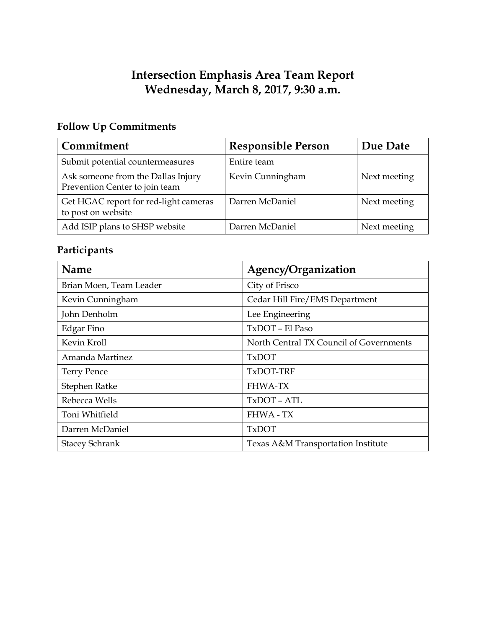# **Intersection Emphasis Area Team Report Wednesday, March 8, 2017, 9:30 a.m.**

# **Follow Up Commitments**

| Commitment                                                           | <b>Responsible Person</b> | Due Date     |
|----------------------------------------------------------------------|---------------------------|--------------|
| Submit potential countermeasures                                     | Entire team               |              |
| Ask someone from the Dallas Injury<br>Prevention Center to join team | Kevin Cunningham          | Next meeting |
| Get HGAC report for red-light cameras<br>to post on website          | Darren McDaniel           | Next meeting |
| Add ISIP plans to SHSP website                                       | Darren McDaniel           | Next meeting |

# **Participants**

| <b>Name</b>             | Agency/Organization                     |  |
|-------------------------|-----------------------------------------|--|
| Brian Moen, Team Leader | City of Frisco                          |  |
| Kevin Cunningham        | Cedar Hill Fire/EMS Department          |  |
| John Denholm            | Lee Engineering                         |  |
| Edgar Fino              | TxDOT - El Paso                         |  |
| Kevin Kroll             | North Central TX Council of Governments |  |
| Amanda Martinez         | <b>TxDOT</b>                            |  |
| <b>Terry Pence</b>      | TxDOT-TRF                               |  |
| Stephen Ratke           | <b>FHWA-TX</b>                          |  |
| Rebecca Wells           | TxDOT - ATL                             |  |
| Toni Whitfield          | <b>FHWA - TX</b>                        |  |
| Darren McDaniel         | <b>TxDOT</b>                            |  |
| <b>Stacey Schrank</b>   | Texas A&M Transportation Institute      |  |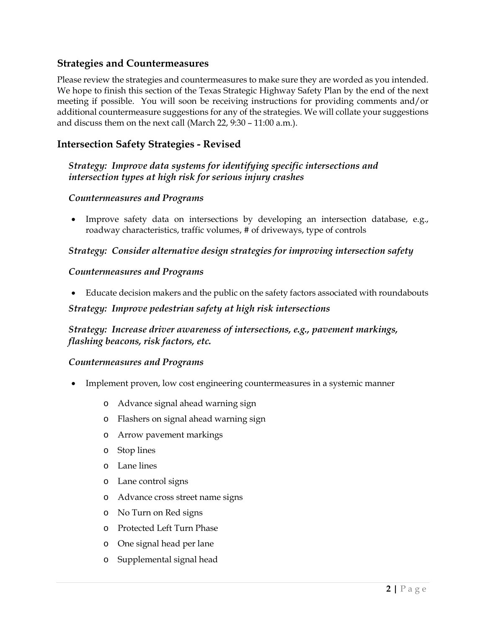## **Strategies and Countermeasures**

Please review the strategies and countermeasures to make sure they are worded as you intended. We hope to finish this section of the Texas Strategic Highway Safety Plan by the end of the next meeting if possible. You will soon be receiving instructions for providing comments and/or additional countermeasure suggestions for any of the strategies. We will collate your suggestions and discuss them on the next call (March 22, 9:30 – 11:00 a.m.).

## **Intersection Safety Strategies - Revised**

## *Strategy: Improve data systems for identifying specific intersections and intersection types at high risk for serious injury crashes*

#### *Countermeasures and Programs*

• Improve safety data on intersections by developing an intersection database, e.g., roadway characteristics, traffic volumes, # of driveways, type of controls

## *Strategy: Consider alternative design strategies for improving intersection safety*

#### *Countermeasures and Programs*

• Educate decision makers and the public on the safety factors associated with roundabouts

#### *Strategy: Improve pedestrian safety at high risk intersections*

## *Strategy: Increase driver awareness of intersections, e.g., pavement markings, flashing beacons, risk factors, etc.*

#### *Countermeasures and Programs*

- Implement proven, low cost engineering countermeasures in a systemic manner
	- o Advance signal ahead warning sign
	- o Flashers on signal ahead warning sign
	- o Arrow pavement markings
	- o Stop lines
	- o Lane lines
	- o Lane control signs
	- o Advance cross street name signs
	- o No Turn on Red signs
	- o Protected Left Turn Phase
	- o One signal head per lane
	- o Supplemental signal head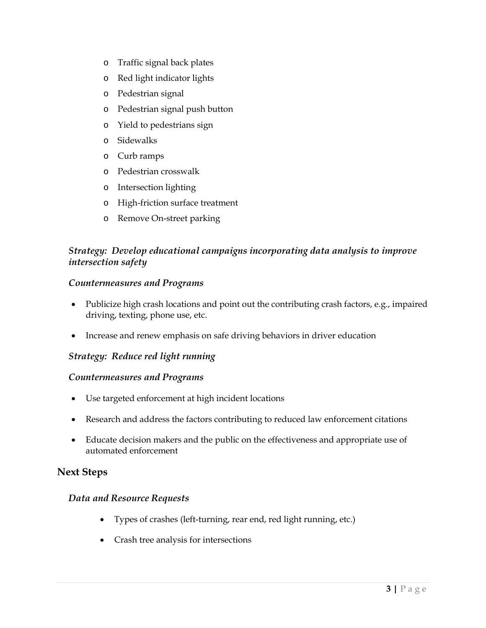- o Traffic signal back plates
- o Red light indicator lights
- o Pedestrian signal
- o Pedestrian signal push button
- o Yield to pedestrians sign
- o Sidewalks
- o Curb ramps
- o Pedestrian crosswalk
- o Intersection lighting
- o High-friction surface treatment
- o Remove On-street parking

## *Strategy: Develop educational campaigns incorporating data analysis to improve intersection safety*

#### *Countermeasures and Programs*

- Publicize high crash locations and point out the contributing crash factors, e.g., impaired driving, texting, phone use, etc.
- Increase and renew emphasis on safe driving behaviors in driver education

## *Strategy: Reduce red light running*

#### *Countermeasures and Programs*

- Use targeted enforcement at high incident locations
- Research and address the factors contributing to reduced law enforcement citations
- Educate decision makers and the public on the effectiveness and appropriate use of automated enforcement

## **Next Steps**

#### *Data and Resource Requests*

- Types of crashes (left-turning, rear end, red light running, etc.)
- Crash tree analysis for intersections